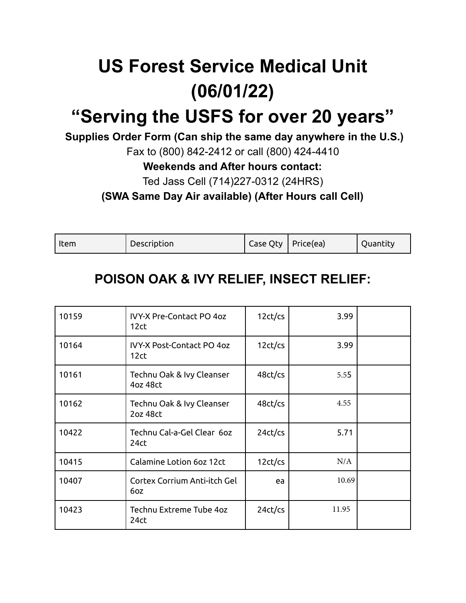# **US Forest Service Medical Unit (06/01/22)**

## **"Serving the USFS for over 20 years"**

**Supplies Order Form (Can ship the same day anywhere in the U.S.)**

Fax to (800) 842-2412 or call (800) 424-4410

**Weekends and After hours contact:**

Ted Jass Cell (714)227-0312 (24HRS)

**(SWA Same Day Air available) (After Hours call Cell)**

| Item | Description | ' Case Qty   Price(ea) | Quantity |
|------|-------------|------------------------|----------|
|      |             |                        |          |

#### **POISON OAK & IVY RELIEF, INSECT RELIEF:**

| 10159 | <b>IVY-X Pre-Contact PO 4oz</b><br>12ct  | 12ct/cs | 3.99  |  |
|-------|------------------------------------------|---------|-------|--|
| 10164 | <b>IVY-X Post-Contact PO 4oz</b><br>12ct | 12ct/cs | 3.99  |  |
| 10161 | Technu Oak & Ivy Cleanser<br>4oz 48ct    | 48ct/cs | 5.55  |  |
| 10162 | Technu Oak & Ivy Cleanser<br>2oz 48ct    | 48ct/cs | 4.55  |  |
| 10422 | Technu Cal-a-Gel Clear 60z<br>24ct       | 24ct/cs | 5.71  |  |
| 10415 | Calamine Lotion 6oz 12ct                 | 12ct/cs | N/A   |  |
| 10407 | Cortex Corrium Anti-itch Gel<br>6oz      | ea      | 10.69 |  |
| 10423 | Technu Extreme Tube 4oz<br>24ct          | 24ct/cs | 11.95 |  |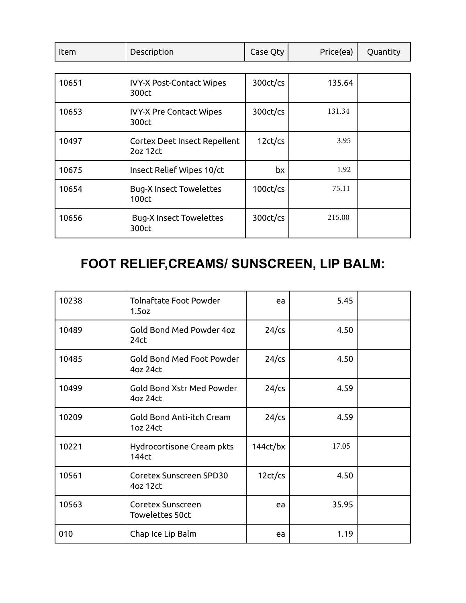| Item | Description | Case Qty | Price(ea) | Quantity |
|------|-------------|----------|-----------|----------|
|      |             |          |           |          |

| 10651 | <b>IVY-X Post-Contact Wipes</b><br>300ct | 300ct/cs    | 135.64 |  |
|-------|------------------------------------------|-------------|--------|--|
| 10653 | <b>IVY-X Pre Contact Wipes</b><br>300ct  | 300ct/cs    | 131.34 |  |
| 10497 | Cortex Deet Insect Repellent<br>2oz 12ct | 12ct/cs     | 3.95   |  |
| 10675 | Insect Relief Wipes 10/ct                | bx          | 1.92   |  |
| 10654 | <b>Bug-X Insect Towelettes</b><br>100ct  | $100ct$ /cs | 75.11  |  |
| 10656 | <b>Bug-X Insect Towelettes</b><br>300ct  | 300ct/cs    | 215.00 |  |

## **FOOT RELIEF,CREAMS/ SUNSCREEN, LIP BALM:**

| 10238 | <b>Tolnaftate Foot Powder</b><br>1.5oz       | ea       | 5.45  |  |
|-------|----------------------------------------------|----------|-------|--|
| 10489 | Gold Bond Med Powder 4oz<br>24 <sub>ct</sub> | $24$ /cs | 4.50  |  |
| 10485 | Gold Bond Med Foot Powder<br>4oz 24ct        | $24$ /cs | 4.50  |  |
| 10499 | <b>Gold Bond Xstr Med Powder</b><br>4oz 24ct | $24$ /cs | 4.59  |  |
| 10209 | Gold Bond Anti-itch Cream<br>1oz 24ct        | $24$ /cs | 4.59  |  |
| 10221 | Hydrocortisone Cream pkts<br>144ct           | 144ct/bx | 17.05 |  |
| 10561 | Coretex Sunscreen SPD30<br>4oz 12ct          | 12ct/cs  | 4.50  |  |
| 10563 | Coretex Sunscreen<br><b>Towelettes 50ct</b>  | ea       | 35.95 |  |
| 010   | Chap Ice Lip Balm                            | ea       | 1.19  |  |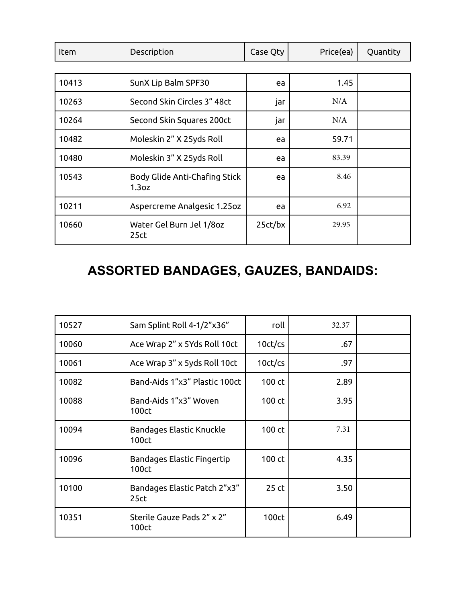| <b>Item</b> | Description                                        | Case Qty | Price(ea) | Quantity |
|-------------|----------------------------------------------------|----------|-----------|----------|
|             |                                                    |          |           |          |
| 10413       | SunX Lip Balm SPF30                                | ea       | 1.45      |          |
| 10263       | Second Skin Circles 3" 48ct                        | jar      | N/A       |          |
| 10264       | Second Skin Squares 200ct                          | jar      | N/A       |          |
| 10482       | Moleskin 2" X 25yds Roll                           | ea       | 59.71     |          |
| 10480       | Moleskin 3" X 25yds Roll                           | ea       | 83.39     |          |
| 10543       | Body Glide Anti-Chafing Stick<br>1.3 <sub>oz</sub> | ea       | 8.46      |          |
| 10211       | Aspercreme Analgesic 1.25oz                        | ea       | 6.92      |          |
| 10660       | Water Gel Burn Jel 1/8oz<br>25 <sub>ct</sub>       | 25ct/bx  | 29.95     |          |

## **ASSORTED BANDAGES, GAUZES, BANDAIDS:**

| 10527 | Sam Splint Roll 4-1/2"x36"                       | roll                 | 32.37 |  |
|-------|--------------------------------------------------|----------------------|-------|--|
| 10060 | Ace Wrap 2" x 5Yds Roll 10ct                     | 10 <sub>ct</sub> /cs | .67   |  |
| 10061 | Ace Wrap 3" x 5yds Roll 10ct                     | 10 <sub>ct</sub> /cs | .97   |  |
| 10082 | Band-Aids 1"x3" Plastic 100ct                    | 100 ct               | 2.89  |  |
| 10088 | Band-Aids 1"x3" Woven<br>100ct                   | 100 ct               | 3.95  |  |
| 10094 | Bandages Elastic Knuckle<br>100ct                | 100 ct               | 7.31  |  |
| 10096 | Bandages Elastic Fingertip<br>100ct              | 100 ct               | 4.35  |  |
| 10100 | Bandages Elastic Patch 2"x3"<br>25 <sub>ct</sub> | 25 ct                | 3.50  |  |
| 10351 | Sterile Gauze Pads 2" x 2"<br>100ct              | 100ct                | 6.49  |  |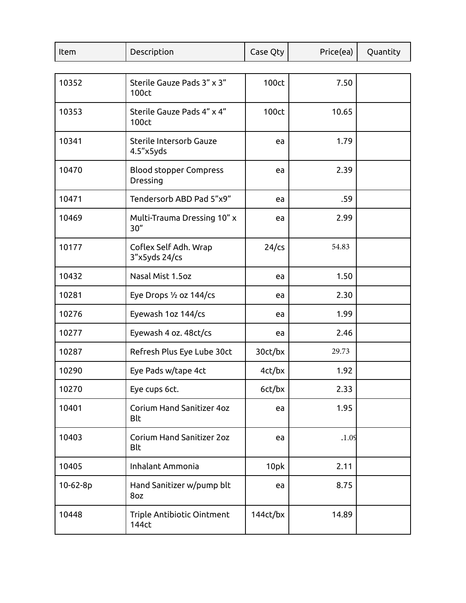| Item     | Description                                    | Case Qty | Price(ea) | Quantity |
|----------|------------------------------------------------|----------|-----------|----------|
|          |                                                |          |           |          |
| 10352    | Sterile Gauze Pads 3" x 3"<br>100ct            | 100ct    | 7.50      |          |
| 10353    | Sterile Gauze Pads 4" x 4"<br><b>100ct</b>     | 100ct    | 10.65     |          |
| 10341    | Sterile Intersorb Gauze<br>4.5"x5yds           | ea       | 1.79      |          |
| 10470    | <b>Blood stopper Compress</b><br>Dressing      | ea       | 2.39      |          |
| 10471    | Tendersorb ABD Pad 5"x9"                       | ea       | .59       |          |
| 10469    | Multi-Trauma Dressing 10" x<br>30''            | ea       | 2.99      |          |
| 10177    | Coflex Self Adh. Wrap<br>3"x5yds 24/cs         | $24$ /cs | 54.83     |          |
| 10432    | Nasal Mist 1.5oz                               | ea       | 1.50      |          |
| 10281    | Eye Drops 1/2 oz 144/cs                        | ea       | 2.30      |          |
| 10276    | Eyewash 1oz 144/cs                             | ea       | 1.99      |          |
| 10277    | Eyewash 4 oz. 48ct/cs                          | ea       | 2.46      |          |
| 10287    | Refresh Plus Eye Lube 30ct                     | 30ct/bx  | 29.73     |          |
| 10290    | Eye Pads w/tape 4ct                            | 4ct/bx   | 1.92      |          |
| 10270    | Eye cups 6ct.                                  | 6ct/bx   | 2.33      |          |
| 10401    | Corium Hand Sanitizer 4oz<br><b>Blt</b>        | ea       | 1.95      |          |
| 10403    | <b>Corium Hand Sanitizer 2oz</b><br><b>Blt</b> | ea       | .1.09     |          |
| 10405    | Inhalant Ammonia                               | 10pk     | 2.11      |          |
| 10-62-8p | Hand Sanitizer w/pump blt<br>8oz               | ea       | 8.75      |          |
| 10448    | Triple Antibiotic Ointment<br>144ct            | 144ct/bx | 14.89     |          |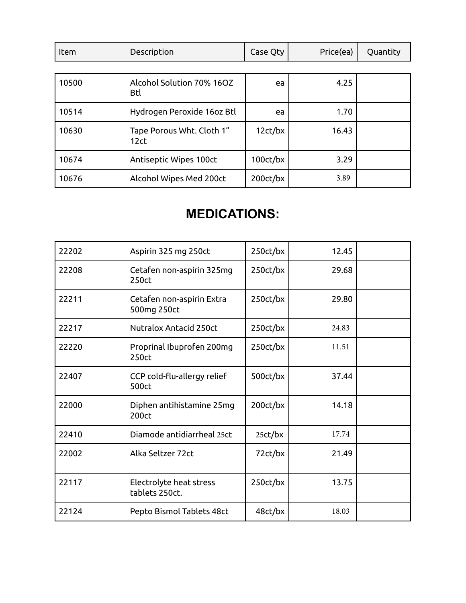| Item  | Description                                   | Case Qty              | Price(ea) | Quantity |
|-------|-----------------------------------------------|-----------------------|-----------|----------|
|       |                                               |                       |           |          |
| 10500 | Alcohol Solution 70% 16OZ<br><b>Btl</b>       | ea                    | 4.25      |          |
| 10514 | Hydrogen Peroxide 16oz Btl                    | ea                    | 1.70      |          |
| 10630 | Tape Porous Wht. Cloth 1"<br>12 <sub>ct</sub> | 12ct/bx               | 16.43     |          |
| 10674 | Antiseptic Wipes 100ct                        | $100$ ct/bx           | 3.29      |          |
| 10676 | Alcohol Wipes Med 200ct                       | 200 <sub>ct</sub> /bx | 3.89      |          |

## **MEDICATIONS:**

| 22202 | Aspirin 325 mg 250ct                      | 250ct/bx   | 12.45 |  |
|-------|-------------------------------------------|------------|-------|--|
| 22208 | Cetafen non-aspirin 325mg<br>250ct        | 250ct/bx   | 29.68 |  |
| 22211 | Cetafen non-aspirin Extra<br>500mg 250ct  | 250ct/bx   | 29.80 |  |
| 22217 | <b>Nutralox Antacid 250ct</b>             | 250ct/bx   | 24.83 |  |
| 22220 | Proprinal Ibuprofen 200mg<br>250ct        | 250ct/bx   | 11.51 |  |
| 22407 | CCP cold-flu-allergy relief<br>500ct      | 500ct/bx   | 37.44 |  |
| 22000 | Diphen antihistamine 25mg<br>200ct        | 200ct/bx   | 14.18 |  |
| 22410 | Diamode antidiarrheal 25ct                | $25$ ct/bx | 17.74 |  |
| 22002 | Alka Seltzer 72ct                         | 72ct/bx    | 21.49 |  |
| 22117 | Electrolyte heat stress<br>tablets 250ct. | 250ct/bx   | 13.75 |  |
| 22124 | Pepto Bismol Tablets 48ct                 | 48ct/bx    | 18.03 |  |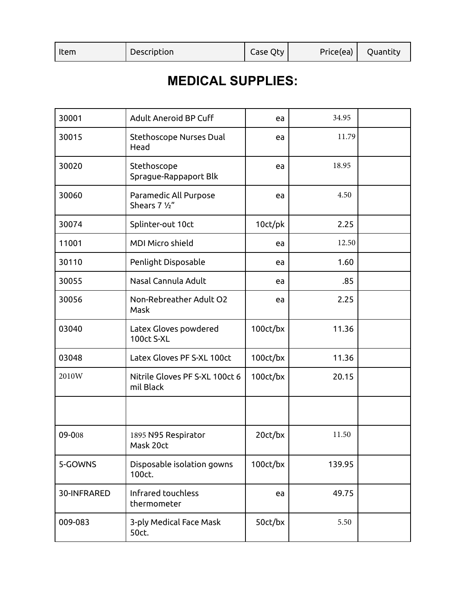| Item | Description | Case Qty | Price(ea) | Quantity |
|------|-------------|----------|-----------|----------|
|      |             |          |           |          |

#### **MEDICAL SUPPLIES:**

| 30001       | <b>Adult Aneroid BP Cuff</b>                | ea       | 34.95  |  |
|-------------|---------------------------------------------|----------|--------|--|
| 30015       | Stethoscope Nurses Dual<br>Head             | ea       | 11.79  |  |
| 30020       | Stethoscope<br>Sprague-Rappaport Blk        | ea       | 18.95  |  |
| 30060       | Paramedic All Purpose<br>Shears 7 1/2"      | ea       | 4.50   |  |
| 30074       | Splinter-out 10ct                           | 10ct/pk  | 2.25   |  |
| 11001       | <b>MDI Micro shield</b>                     | ea       | 12.50  |  |
| 30110       | Penlight Disposable                         | ea       | 1.60   |  |
| 30055       | Nasal Cannula Adult                         | ea       | .85    |  |
| 30056       | Non-Rebreather Adult O2<br>Mask             | ea       | 2.25   |  |
| 03040       | Latex Gloves powdered<br><b>100ct S-XL</b>  | 100ct/bx | 11.36  |  |
| 03048       | Latex Gloves PF S-XL 100ct                  | 100ct/bx | 11.36  |  |
| 2010W       | Nitrile Gloves PF S-XL 100ct 6<br>mil Black | 100ct/bx | 20.15  |  |
|             |                                             |          |        |  |
| 09-008      | 1895 N95 Respirator<br>Mask 20ct            | 20ct/bx  | 11.50  |  |
| 5-GOWNS     | Disposable isolation gowns<br>100ct.        | 100ct/bx | 139.95 |  |
| 30-INFRARED | Infrared touchless<br>thermometer           | ea       | 49.75  |  |
| 009-083     | 3-ply Medical Face Mask<br>50ct.            | 50ct/bx  | 5.50   |  |